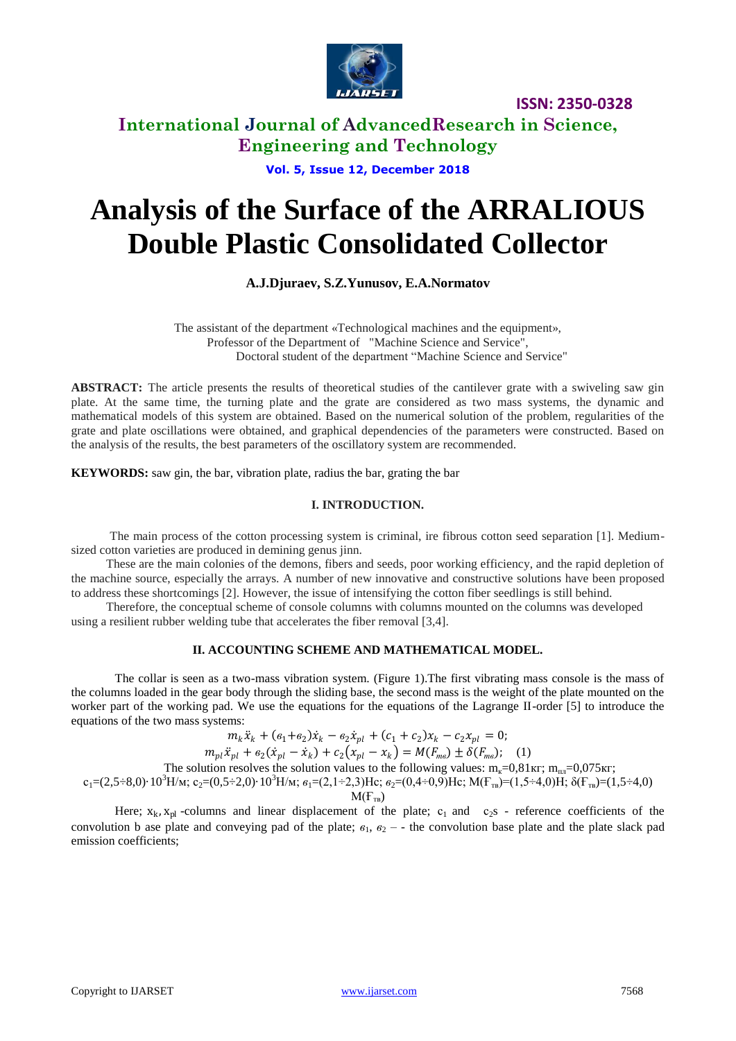

## **International Journal of AdvancedResearch in Science, Engineering and Technology**

**Vol. 5, Issue 12, December 2018**

# **Analysis of the Surface of the ARRALIOUS Double Plastic Consolidated Collector**

## **A.J.Djuraev, S.Z.Yunusov, E.A.Normatov**

The assistant of the department «Technological machines and the equipment», Professor of the Department of "Machine Science and Service", Doctoral student of the department "Machine Science and Service"

**ABSTRACT:** The article presents the results of theoretical studies of the cantilever grate with a swiveling saw gin plate. At the same time, the turning plate and the grate are considered as two mass systems, the dynamic and mathematical models of this system are obtained. Based on the numerical solution of the problem, regularities of the grate and plate oscillations were obtained, and graphical dependencies of the parameters were constructed. Based on the analysis of the results, the best parameters of the oscillatory system are recommended.

**KEYWORDS:** saw gin, the bar, vibration plate, radius the bar, grating the bar

### **I. INTRODUCTION.**

The main process of the cotton processing system is criminal, ire fibrous cotton seed separation [1]. Mediumsized cotton varieties are produced in demining genus jinn.

These are the main colonies of the demons, fibers and seeds, poor working efficiency, and the rapid depletion of the machine source, especially the arrays. A number of new innovative and constructive solutions have been proposed to address these shortcomings [2]. However, the issue of intensifying the cotton fiber seedlings is still behind.

Therefore, the conceptual scheme of console columns with columns mounted on the columns was developed using a resilient rubber welding tube that accelerates the fiber removal [3,4].

### **II. ACCOUNTING SCHEME AND MATHEMATICAL MODEL.**

The collar is seen as a two-mass vibration system. (Figure 1).The first vibrating mass console is the mass of the columns loaded in the gear body through the sliding base, the second mass is the weight of the plate mounted on the worker part of the working pad. We use the equations for the equations of the Lagrange II-order [5] to introduce the equations of the two mass systems:

 $m_k \ddot{x}_k + (e_1 + e_2) \dot{x}_k - e_2 \dot{x}_{pl} + (c_1 + c_2) x_k - c_2 x_{pl} = 0;$ 

$$
m_{pl}\ddot{x}_{pl} + \epsilon_2(\dot{x}_{pl} - \dot{x}_k) + c_2(x_{pl} - x_k) = M(F_{mg}) \pm \delta(F_{mg}); \quad (1)
$$

The solution resolves the solution values to the following values:  $m<sub>κ</sub>=0.81$ κ $r$ ;  $m<sub>ππ</sub>=0.075$ κ $r$ ;

 $c_1=(2,5\div 8,0)\cdot 10^3$ Н/м;  $c_2=(0,5\div 2,0)\cdot 10^3$ Н/м; *Нс;*  $*β*_2=(0,4\div 0,9)$ *Нс; M(F<sub>TB</sub>)=(1,5÷4,0)Η; δ(F<sub>TB</sub>)=(1,5÷4,0)*  $M(F_{TR})$ 

Here;  $x_k$ ,  $x_{pl}$  -columns and linear displacement of the plate;  $c_1$  and  $c_2$ s - reference coefficients of the convolution b ase plate and conveying pad of the plate;  $\epsilon_1$ ,  $\epsilon_2$  – - the convolution base plate and the plate slack pad emission coefficients;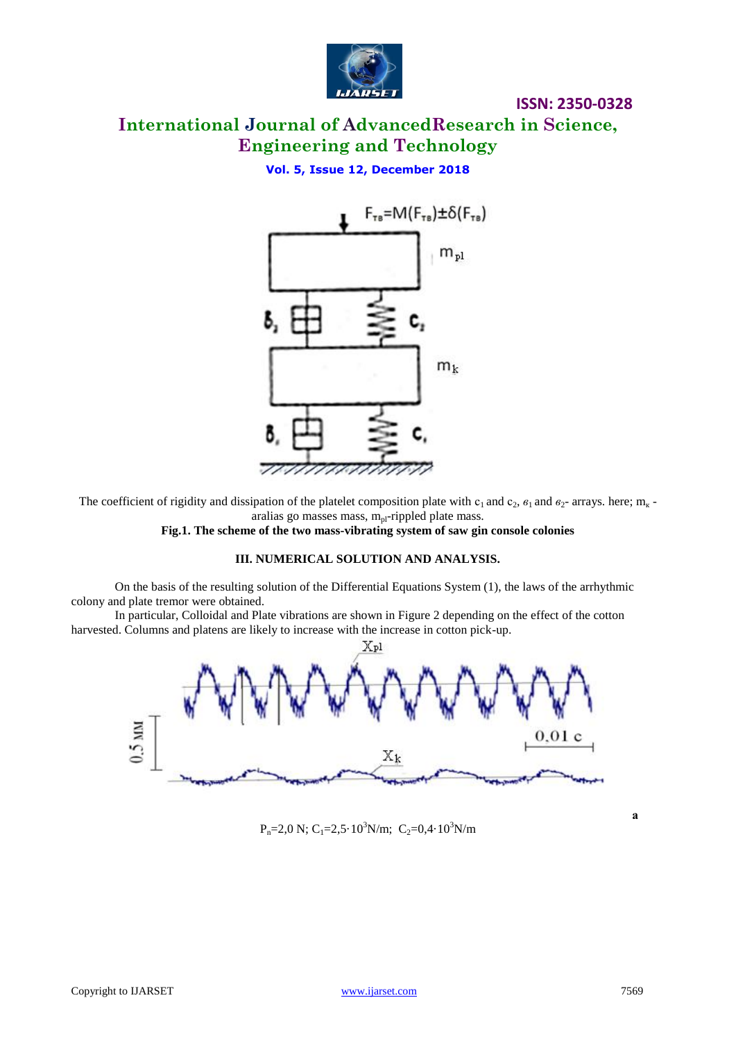

## **International Journal of AdvancedResearch in Science, Engineering and Technology**

**Vol. 5, Issue 12, December 2018**



The coefficient of rigidity and dissipation of the platelet composition plate with  $c_1$  and  $c_2$ ,  $s_1$  and  $s_2$ - arrays. here; m<sub>k</sub> aralias go masses mass,  $m_{pl}$ -rippled plate mass.

**Fig.1. The scheme of the two mass-vibrating system of saw gin console colonies**

### **III. NUMERICAL SOLUTION AND ANALYSIS.**

On the basis of the resulting solution of the Differential Equations System (1), the laws of the arrhythmic colony and plate tremor were obtained.

In particular, Colloidal and Plate vibrations are shown in Figure 2 depending on the effect of the cotton harvested. Columns and platens are likely to increase with the increase in cotton pick-up.



 $P_n=2,0 \text{ N}; C_1=2,5.10^3 \text{ N/m}; C_2=0,4.10^3 \text{ N/m}$ 

**а**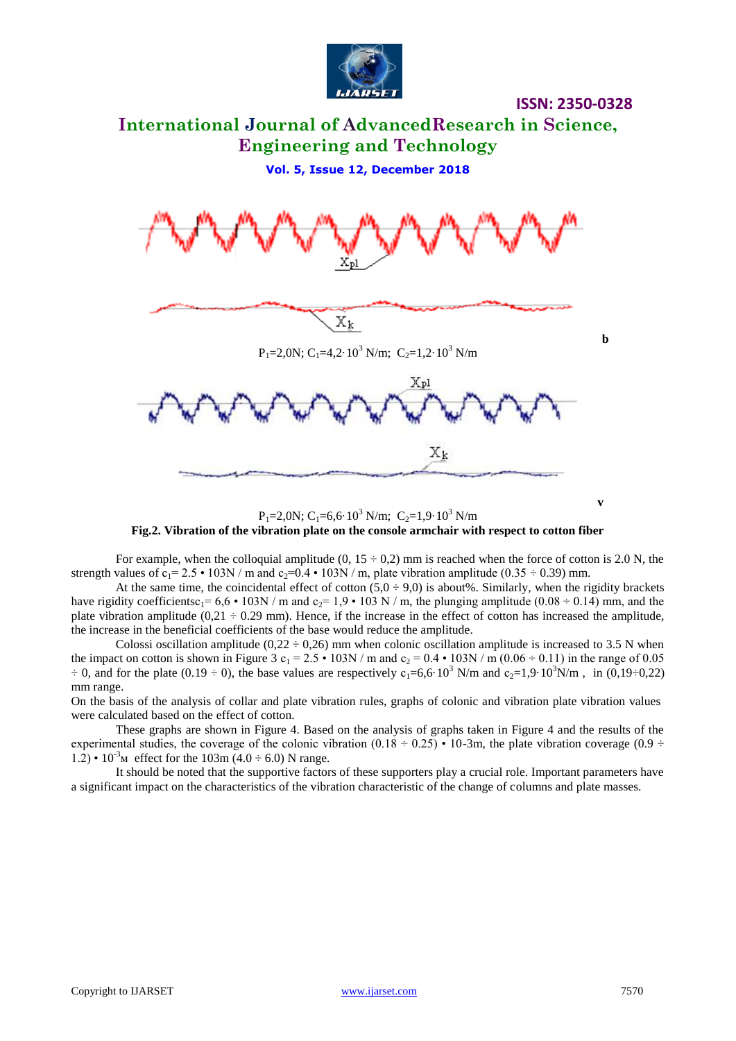

## **International Journal of AdvancedResearch in Science, Engineering and Technology**

**Vol. 5, Issue 12, December 2018**



 $P_1 = 2,0N$ ; C<sub>1</sub>=6,6·10<sup>3</sup> N/m; C<sub>2</sub>=1,9·10<sup>3</sup> N/m **Fig.2. Vibration of the vibration plate on the console armchair with respect to cotton fiber**

For example, when the colloquial amplitude  $(0, 15 \div 0.2)$  mm is reached when the force of cotton is 2.0 N, the strength values of  $c_1 = 2.5 \cdot 103N / m$  and  $c_2 = 0.4 \cdot 103N / m$ , plate vibration amplitude (0.35  $\div$  0.39) mm.

At the same time, the coincidental effect of cotton  $(5,0 \div 9,0)$  is about%. Similarly, when the rigidity brackets have rigidity coefficientsc<sub>1</sub>=  $6,6 \cdot 103N/m$  and c<sub>2</sub>= 1,9  $\cdot 103N/m$ , the plunging amplitude (0.08 ÷ 0.14) mm, and the plate vibration amplitude  $(0,21 \div 0.29 \text{ mm})$ . Hence, if the increase in the effect of cotton has increased the amplitude, the increase in the beneficial coefficients of the base would reduce the amplitude.

Colossi oscillation amplitude (0,22  $\div$  0,26) mm when colonic oscillation amplitude is increased to 3.5 N when the impact on cotton is shown in Figure 3  $c_1 = 2.5 \cdot 103N/m$  and  $c_2 = 0.4 \cdot 103N/m (0.06 \div 0.11)$  in the range of 0.05  $\div$  0, and for the plate (0.19  $\div$  0), the base values are respectively  $c_1=6.6\cdot 10^3$  N/m and  $c_2=1.9\cdot 10^3$ N/m, in (0.19 $\div$ 0.22) mm range.

On the basis of the analysis of collar and plate vibration rules, graphs of colonic and vibration plate vibration values were calculated based on the effect of cotton.

These graphs are shown in Figure 4. Based on the analysis of graphs taken in Figure 4 and the results of the experimental studies, the coverage of the colonic vibration  $(0.18 \div 0.25) \cdot 10\text{-}3$ m, the plate vibration coverage  $(0.9 \div 10.25)$  $1.2) \cdot 10^{-3}$ <sub>M</sub> effect for the 103m (4.0  $\div$  6.0) N range.

It should be noted that the supportive factors of these supporters play a crucial role. Important parameters have a significant impact on the characteristics of the vibration characteristic of the change of columns and plate masses.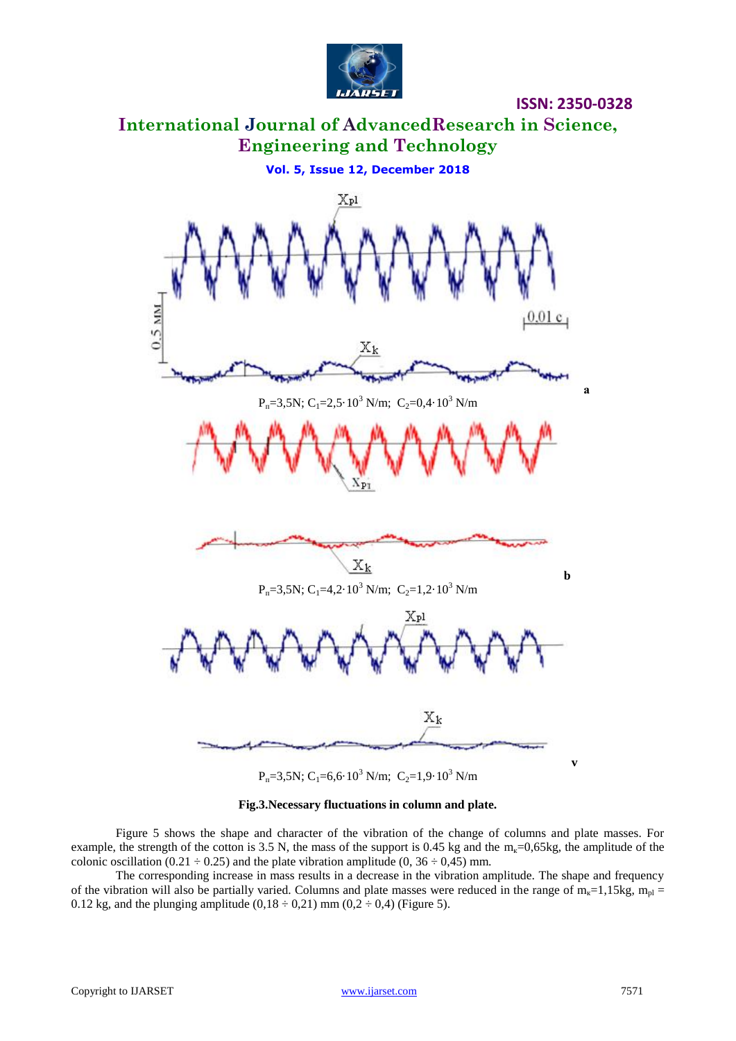

**International Journal of AdvancedResearch in Science, Engineering and Technology**

**Vol. 5, Issue 12, December 2018**



 $P_n=3,5N; C_1=6,6.10^3 \text{ N/m}; C_2=1,9.10^3 \text{ N/m}$ 

### **Fig.3.Necessary fluctuations in column and plate.**

Figure 5 shows the shape and character of the vibration of the change of columns and plate masses. For example, the strength of the cotton is 3.5 N, the mass of the support is 0.45 kg and the  $m<sub>k</sub>=0.65$ kg, the amplitude of the colonic oscillation (0.21  $\div$  0.25) and the plate vibration amplitude (0, 36  $\div$  0,45) mm.

The corresponding increase in mass results in a decrease in the vibration amplitude. The shape and frequency of the vibration will also be partially varied. Columns and plate masses were reduced in the range of  $m<sub>k</sub>=1,15kg$ ,  $m<sub>pl</sub>$  = 0.12 kg, and the plunging amplitude  $(0,18 \div 0,21)$  mm  $(0,2 \div 0,4)$  (Figure 5).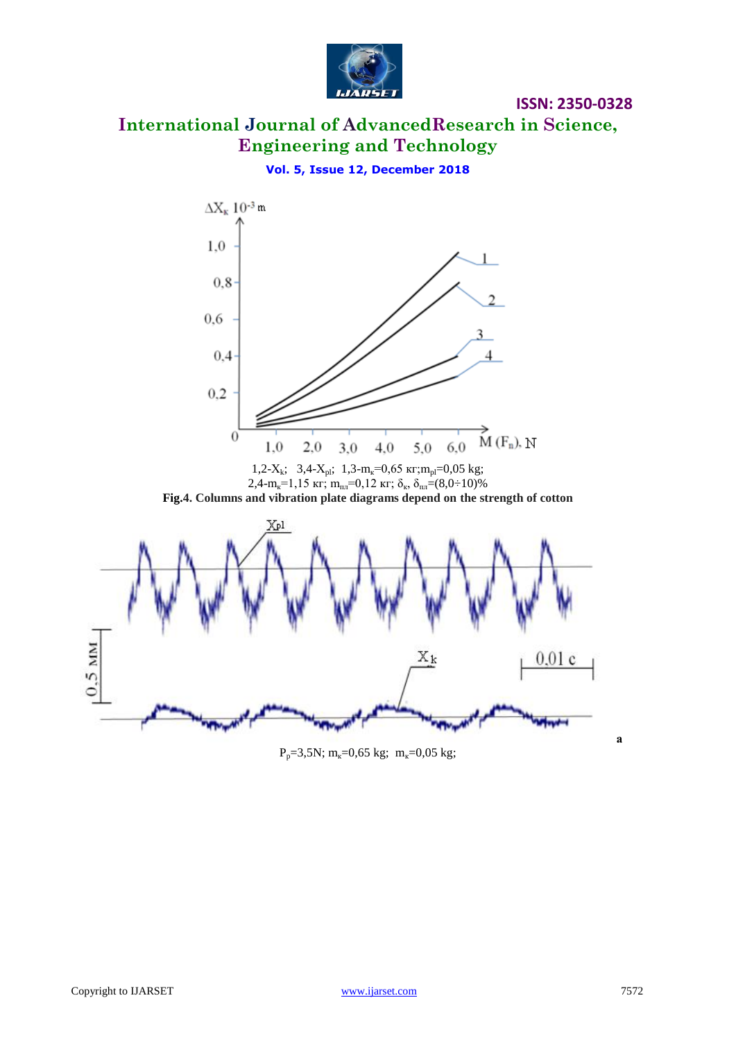

## **International Journal of AdvancedResearch in Science, Engineering and Technology**

**ISSN: 2350-0328**

**Vol. 5, Issue 12, December 2018**



P<sub>p</sub>=3,5N; m<sub>k</sub>=0,65 kg; m<sub>k</sub>=0,05 kg;

**а**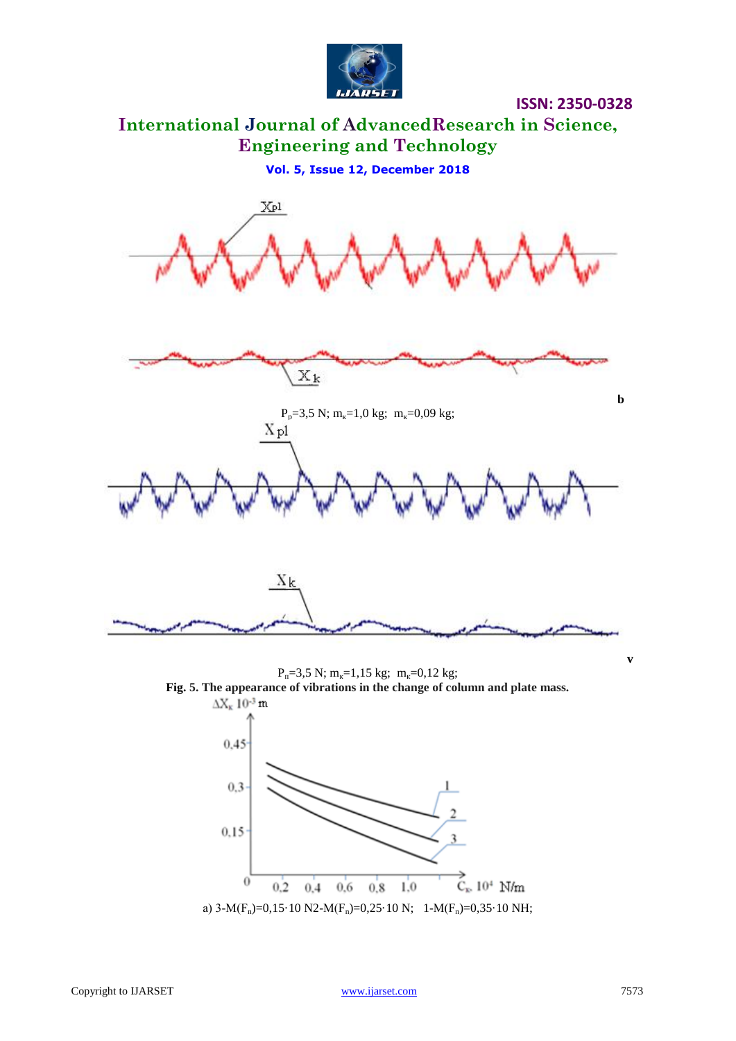

## **International Journal of AdvancedResearch in Science, Engineering and Technology**

**Vol. 5, Issue 12, December 2018**



 $P_n=3,5 \text{ N}; m_k=1,15 \text{ kg}; m_k=0,12 \text{ kg};$ **Fig. 5. The appearance of vibrations in the change of column and plate mass.**